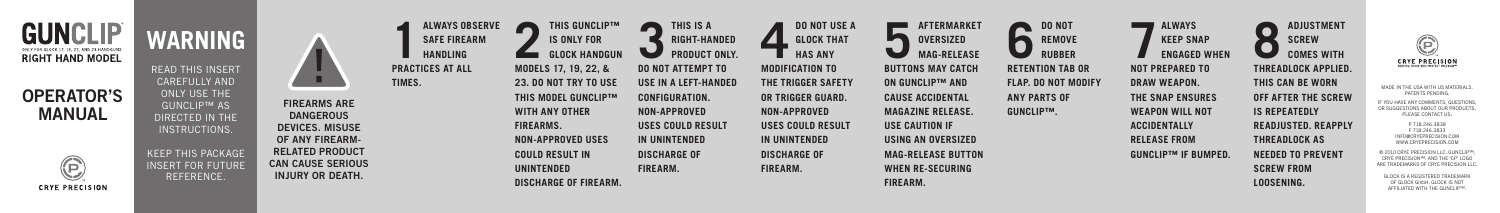

## OPERATOR'S MANUAL



MADE IN THE USA WITH US MATERIALS. PATENTS PENDING.

IF YOU HAVE ANY COMMENTS, QUESTIONS, OR SUGGESTIONS ABOUT OUR PRODUCTS, PLEASE CONTACT US:

> P 718.246.3838 F 718.246.3833 INFO@CRYEPRECISION.COM WWW.CRYEPRECISION.COM

© 2010 CRYE PRECISION LLC. GUNCLIP™, CRYE PRECISION™, AND THE 'CP' LOGO ARE TRADEMARKS OF CRYE PRECISION LLC.

GLOCK IS A REGISTERED TRADEMARK OF GLOCK GmbH. GLOCK IS NOT AFFILIATED WITH THE GUNCLIP™.

**PR TIMES.**

**WARNING** READ THIS INSERT CAREFULLY AND ONLY USE THE GUNCLIP™ AS DIRECTED IN THE INSTRUCTIONS. KEEP THIS PACKAGE INSERT FOR FUTURE REFERENCE. FIREARMS ARE DANGEROUS DEVICES. MISUSE OF ANY FIREARM-RELATED PRODUCT CAN CAUSE SERIOUS INJURY OR DEATH.

**ADJUSTMENT SCREW COMES WITH** 

| <b>ALWAYS OBSERVE</b><br><b>SAFE FIREARM</b><br><b>HANDLING</b><br>PRACTICES AT ALL<br>TIMES. | THIS GUNCLIP™<br><b>IS ONLY FOR</b><br><b>GLOCK HANDGUN</b><br><b>MODELS 17, 19, 22, &amp;</b><br><b>23. DO NOT TRY TO USE</b><br><b>THIS MODEL GUNCLIP™</b><br><b>WITH ANY OTHER</b><br><b>FIREARMS.</b><br><b>NON-APPROVED USES</b><br><b>COULD RESULT IN</b> | THIS IS A<br><b>RIGHT-HANDED</b><br>L<br><b>PRODUCT ONLY.</b><br><b>DO NOT ATTEMPT TO</b><br>USE IN A LEFT-HANDED<br><b>CONFIGURATION.</b><br>NON-APPROVED<br>USES COULD RESULT<br>IN UNINTENDED<br><b>DISCHARGE OF</b> | <b>DO NOT USE A</b><br><b>GLOCK THAT</b><br><b>HAS ANY</b><br><b>MODIFICATION TO</b><br>THE TRIGGER SAFETY<br>OR TRIGGER GUARD.<br>NON-APPROVED<br>USES COULD RESULT<br>IN UNINTENDED<br><b>DISCHARGE OF</b> | <b>AFTERMARKET</b><br><b>OVERSIZED</b><br><b>MAG-RELEASE</b><br><b>BUTTONS MAY CATCH</b><br><b>ON GUNCLIP™ AND</b><br><b>CAUSE ACCIDENTAL</b><br><b>MAGAZINE RELEASE.</b><br><b>USE CAUTION IF</b><br>USING AN OVERSIZED<br><b>MAG-RELEASE BUTTON</b> | <b>DO NOT</b><br><b>REMOVE</b><br><b>RUBBER</b><br><b>RETENTION TAB OR</b><br><b>FLAP. DO NOT MODIFY</b><br><b>ANY PARTS OF</b><br><b>GUNCLIPTM.</b> |
|-----------------------------------------------------------------------------------------------|-----------------------------------------------------------------------------------------------------------------------------------------------------------------------------------------------------------------------------------------------------------------|-------------------------------------------------------------------------------------------------------------------------------------------------------------------------------------------------------------------------|--------------------------------------------------------------------------------------------------------------------------------------------------------------------------------------------------------------|-------------------------------------------------------------------------------------------------------------------------------------------------------------------------------------------------------------------------------------------------------|------------------------------------------------------------------------------------------------------------------------------------------------------|
|                                                                                               | <b>UNINTENDED</b>                                                                                                                                                                                                                                               | FIREARM.                                                                                                                                                                                                                | <b>FIREARM.</b>                                                                                                                                                                                              | <b>WHEN RE-SECURING</b>                                                                                                                                                                                                                               |                                                                                                                                                      |
|                                                                                               | <b>DISCHARGE OF FIREARM.</b>                                                                                                                                                                                                                                    |                                                                                                                                                                                                                         |                                                                                                                                                                                                              | <b>FIREARM.</b>                                                                                                                                                                                                                                       |                                                                                                                                                      |





**THREADLOCK APPLIED. THIS CAN BE WORN OFF AFTER THE SCREW IS REPEATEDLY READJUSTED. REAPPLY THREADLOCK AS NEEDED TO PREVENT SCREW FROM LOOSENING.**